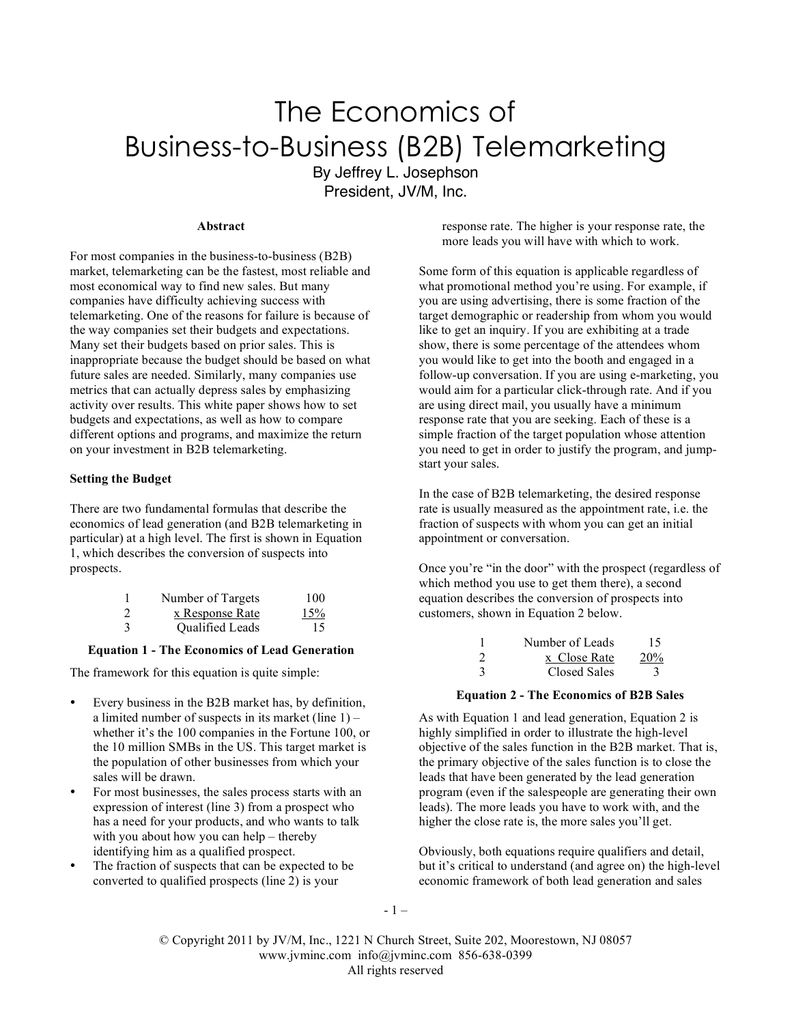# The Economics of Business-to-Business (B2B) Telemarketing By Jeffrey L. Josephson

President, JV/M, Inc.

# **Abstract**

For most companies in the business-to-business (B2B) market, telemarketing can be the fastest, most reliable and most economical way to find new sales. But many companies have difficulty achieving success with telemarketing. One of the reasons for failure is because of the way companies set their budgets and expectations. Many set their budgets based on prior sales. This is inappropriate because the budget should be based on what future sales are needed. Similarly, many companies use metrics that can actually depress sales by emphasizing activity over results. This white paper shows how to set budgets and expectations, as well as how to compare different options and programs, and maximize the return on your investment in B2B telemarketing.

#### **Setting the Budget**

There are two fundamental formulas that describe the economics of lead generation (and B2B telemarketing in particular) at a high level. The first is shown in Equation 1, which describes the conversion of suspects into prospects.

|                | Number of Targets | 100 |
|----------------|-------------------|-----|
| $\overline{2}$ | x Response Rate   | 15% |
| 3              | Qualified Leads   | 15  |

#### **Equation 1 - The Economics of Lead Generation**

The framework for this equation is quite simple:

- Every business in the B2B market has, by definition, a limited number of suspects in its market (line  $1$ ) – whether it's the 100 companies in the Fortune 100, or the 10 million SMBs in the US. This target market is the population of other businesses from which your sales will be drawn.
- For most businesses, the sales process starts with an expression of interest (line 3) from a prospect who has a need for your products, and who wants to talk with you about how you can help – thereby identifying him as a qualified prospect.
- The fraction of suspects that can be expected to be converted to qualified prospects (line 2) is your

response rate. The higher is your response rate, the more leads you will have with which to work.

Some form of this equation is applicable regardless of what promotional method you're using. For example, if you are using advertising, there is some fraction of the target demographic or readership from whom you would like to get an inquiry. If you are exhibiting at a trade show, there is some percentage of the attendees whom you would like to get into the booth and engaged in a follow-up conversation. If you are using e-marketing, you would aim for a particular click-through rate. And if you are using direct mail, you usually have a minimum response rate that you are seeking. Each of these is a simple fraction of the target population whose attention you need to get in order to justify the program, and jumpstart your sales.

In the case of B2B telemarketing, the desired response rate is usually measured as the appointment rate, i.e. the fraction of suspects with whom you can get an initial appointment or conversation.

Once you're "in the door" with the prospect (regardless of which method you use to get them there), a second equation describes the conversion of prospects into customers, shown in Equation 2 below.

|               | Number of Leads | 15         |
|---------------|-----------------|------------|
| $\mathcal{D}$ | x Close Rate    | <b>20%</b> |
| $\mathcal{R}$ | Closed Sales    |            |

#### **Equation 2 - The Economics of B2B Sales**

As with Equation 1 and lead generation, Equation 2 is highly simplified in order to illustrate the high-level objective of the sales function in the B2B market. That is, the primary objective of the sales function is to close the leads that have been generated by the lead generation program (even if the salespeople are generating their own leads). The more leads you have to work with, and the higher the close rate is, the more sales you'll get.

Obviously, both equations require qualifiers and detail, but it's critical to understand (and agree on) the high-level economic framework of both lead generation and sales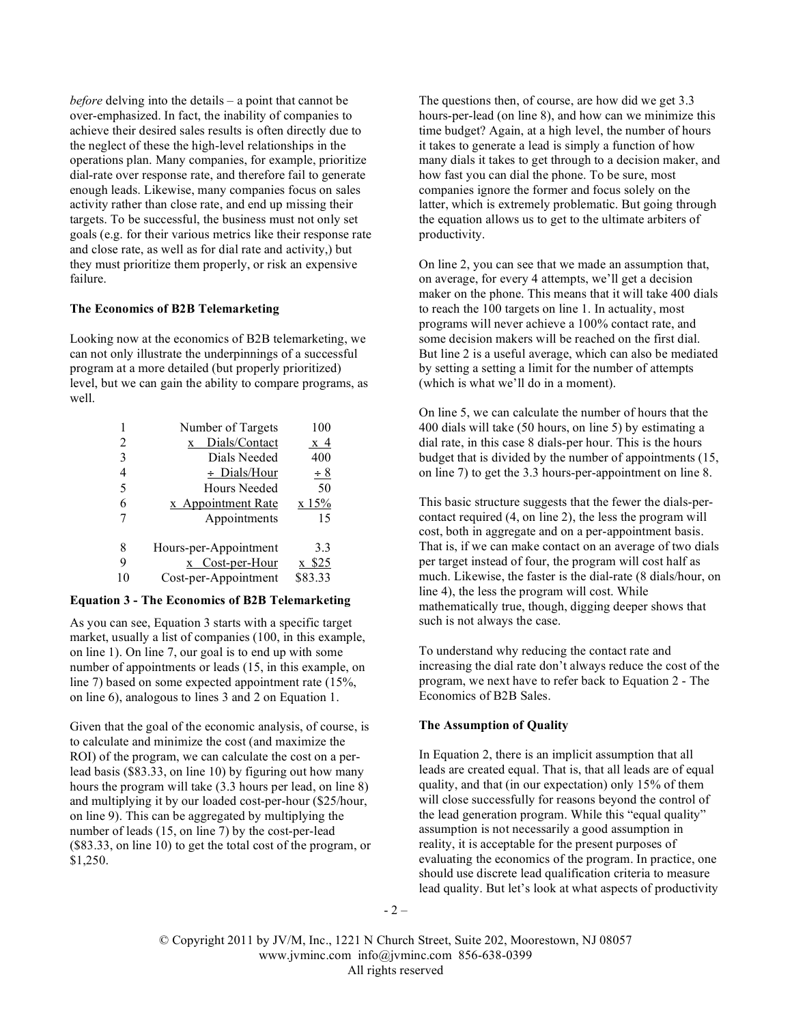*before* delving into the details – a point that cannot be over-emphasized. In fact, the inability of companies to achieve their desired sales results is often directly due to the neglect of these the high-level relationships in the operations plan. Many companies, for example, prioritize dial-rate over response rate, and therefore fail to generate enough leads. Likewise, many companies focus on sales activity rather than close rate, and end up missing their targets. To be successful, the business must not only set goals (e.g. for their various metrics like their response rate and close rate, as well as for dial rate and activity,) but they must prioritize them properly, or risk an expensive failure.

#### **The Economics of B2B Telemarketing**

Looking now at the economics of B2B telemarketing, we can not only illustrate the underpinnings of a successful program at a more detailed (but properly prioritized) level, but we can gain the ability to compare programs, as well.

|    | Number of Targets     | 100     |
|----|-----------------------|---------|
| 2  | Dials/Contact<br>X    | x 4     |
| 3  | Dials Needed          | 400     |
| 4  | $\div$ Dials/Hour     | $\pm 8$ |
| 5  | <b>Hours Needed</b>   | 50      |
| 6  | x Appointment Rate    | x 15%   |
| 7  | Appointments          | 15      |
|    |                       |         |
| 8  | Hours-per-Appointment | 3.3     |
| 9  | x Cost-per-Hour       | x \$25  |
| 10 | Cost-per-Appointment  | \$83.33 |

#### **Equation 3 - The Economics of B2B Telemarketing**

As you can see, Equation 3 starts with a specific target market, usually a list of companies (100, in this example, on line 1). On line 7, our goal is to end up with some number of appointments or leads (15, in this example, on line 7) based on some expected appointment rate (15%, on line 6), analogous to lines 3 and 2 on Equation 1.

Given that the goal of the economic analysis, of course, is to calculate and minimize the cost (and maximize the ROI) of the program, we can calculate the cost on a perlead basis (\$83.33, on line 10) by figuring out how many hours the program will take (3.3 hours per lead, on line 8) and multiplying it by our loaded cost-per-hour (\$25/hour, on line 9). This can be aggregated by multiplying the number of leads (15, on line 7) by the cost-per-lead (\$83.33, on line 10) to get the total cost of the program, or \$1,250.

The questions then, of course, are how did we get 3.3 hours-per-lead (on line 8), and how can we minimize this time budget? Again, at a high level, the number of hours it takes to generate a lead is simply a function of how many dials it takes to get through to a decision maker, and how fast you can dial the phone. To be sure, most companies ignore the former and focus solely on the latter, which is extremely problematic. But going through the equation allows us to get to the ultimate arbiters of productivity.

On line 2, you can see that we made an assumption that, on average, for every 4 attempts, we'll get a decision maker on the phone. This means that it will take 400 dials to reach the 100 targets on line 1. In actuality, most programs will never achieve a 100% contact rate, and some decision makers will be reached on the first dial. But line 2 is a useful average, which can also be mediated by setting a setting a limit for the number of attempts (which is what we'll do in a moment).

On line 5, we can calculate the number of hours that the 400 dials will take (50 hours, on line 5) by estimating a dial rate, in this case 8 dials-per hour. This is the hours budget that is divided by the number of appointments (15, on line 7) to get the 3.3 hours-per-appointment on line 8.

This basic structure suggests that the fewer the dials-percontact required (4, on line 2), the less the program will cost, both in aggregate and on a per-appointment basis. That is, if we can make contact on an average of two dials per target instead of four, the program will cost half as much. Likewise, the faster is the dial-rate (8 dials/hour, on line 4), the less the program will cost. While mathematically true, though, digging deeper shows that such is not always the case.

To understand why reducing the contact rate and increasing the dial rate don't always reduce the cost of the program, we next have to refer back to Equation 2 - The Economics of B2B Sales.

## **The Assumption of Quality**

In Equation 2, there is an implicit assumption that all leads are created equal. That is, that all leads are of equal quality, and that (in our expectation) only 15% of them will close successfully for reasons beyond the control of the lead generation program. While this "equal quality" assumption is not necessarily a good assumption in reality, it is acceptable for the present purposes of evaluating the economics of the program. In practice, one should use discrete lead qualification criteria to measure lead quality. But let's look at what aspects of productivity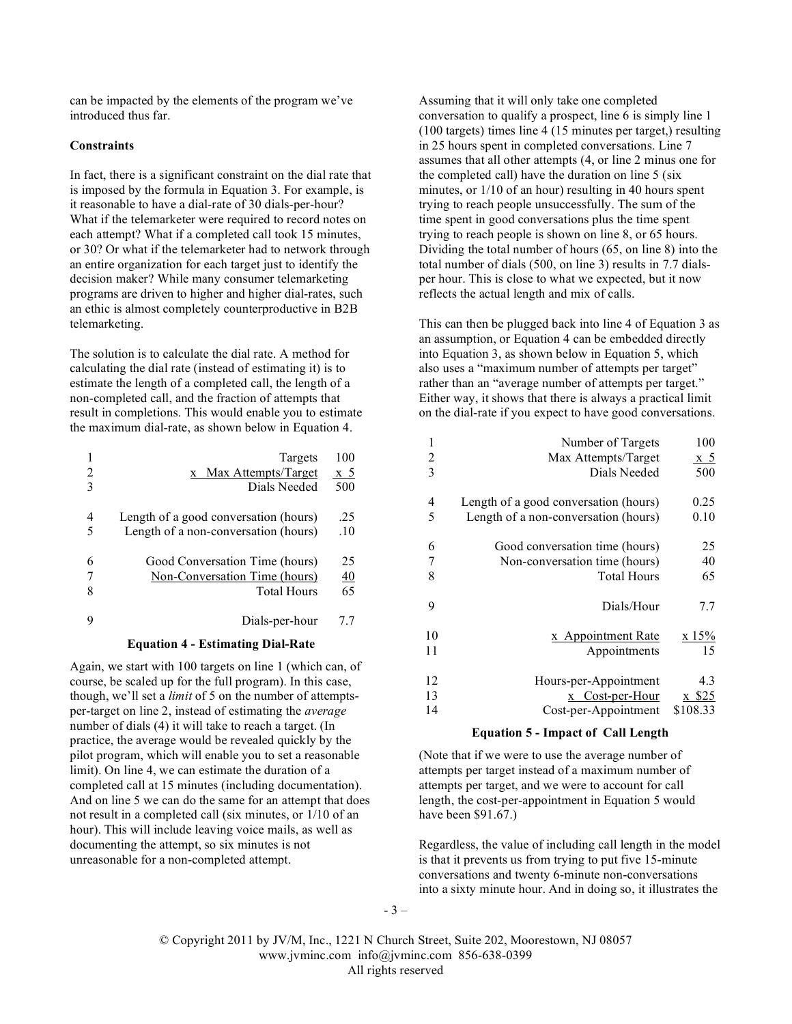can be impacted by the elements of the program we've introduced thus far.

## **Constraints**

In fact, there is a significant constraint on the dial rate that is imposed by the formula in Equation 3. For example, is it reasonable to have a dial-rate of 30 dials-per-hour? What if the telemarketer were required to record notes on each attempt? What if a completed call took 15 minutes, or 30? Or what if the telemarketer had to network through an entire organization for each target just to identify the decision maker? While many consumer telemarketing programs are driven to higher and higher dial-rates, such an ethic is almost completely counterproductive in B2B telemarketing.

The solution is to calculate the dial rate. A method for calculating the dial rate (instead of estimating it) is to estimate the length of a completed call, the length of a non-completed call, and the fraction of attempts that result in completions. This would enable you to estimate the maximum dial-rate, as shown below in Equation 4.

| 2<br>3 | Targets<br>x Max Attempts/Target<br>Dials Needed                                      | 100<br>x 5<br>500     |
|--------|---------------------------------------------------------------------------------------|-----------------------|
| 4<br>5 | Length of a good conversation (hours)<br>Length of a non-conversation (hours)         | .25<br>.10            |
| 6<br>8 | Good Conversation Time (hours)<br>Non-Conversation Time (hours)<br><b>Total Hours</b> | 25<br><u>40</u><br>65 |
|        | Dials-per-hour                                                                        | 77                    |

#### **Equation 4 - Estimating Dial-Rate**

Again, we start with 100 targets on line 1 (which can, of course, be scaled up for the full program). In this case, though, we'll set a *limit* of 5 on the number of attemptsper-target on line 2, instead of estimating the *average* number of dials (4) it will take to reach a target. (In practice, the average would be revealed quickly by the pilot program, which will enable you to set a reasonable limit). On line 4, we can estimate the duration of a completed call at 15 minutes (including documentation). And on line 5 we can do the same for an attempt that does not result in a completed call (six minutes, or 1/10 of an hour). This will include leaving voice mails, as well as documenting the attempt, so six minutes is not unreasonable for a non-completed attempt.

Assuming that it will only take one completed conversation to qualify a prospect, line 6 is simply line 1 (100 targets) times line 4 (15 minutes per target,) resulting in 25 hours spent in completed conversations. Line 7 assumes that all other attempts (4, or line 2 minus one for the completed call) have the duration on line 5 (six minutes, or 1/10 of an hour) resulting in 40 hours spent trying to reach people unsuccessfully. The sum of the time spent in good conversations plus the time spent trying to reach people is shown on line 8, or 65 hours. Dividing the total number of hours (65, on line 8) into the total number of dials (500, on line 3) results in 7.7 dialsper hour. This is close to what we expected, but it now reflects the actual length and mix of calls.

This can then be plugged back into line 4 of Equation 3 as an assumption, or Equation 4 can be embedded directly into Equation 3, as shown below in Equation 5, which also uses a "maximum number of attempts per target" rather than an "average number of attempts per target." Either way, it shows that there is always a practical limit on the dial-rate if you expect to have good conversations.

| 1  | Number of Targets                     | 100      |
|----|---------------------------------------|----------|
| 2  | Max Attempts/Target                   | x 5      |
| 3  | Dials Needed                          | 500      |
| 4  | Length of a good conversation (hours) | 0.25     |
| 5  | Length of a non-conversation (hours)  | 0.10     |
| 6  | Good conversation time (hours)        | 25       |
| 7  | Non-conversation time (hours)         | 40       |
| 8  | <b>Total Hours</b>                    | 65       |
| 9  | Dials/Hour                            | 7.7      |
| 10 | x Appointment Rate                    | x 15%    |
| 11 | Appointments                          | 15       |
| 12 | Hours-per-Appointment                 | 4.3      |
| 13 | x Cost-per-Hour                       | x \$25   |
| 14 | Cost-per-Appointment                  | \$108.33 |

## **Equation 5 - Impact of Call Length**

(Note that if we were to use the average number of attempts per target instead of a maximum number of attempts per target, and we were to account for call length, the cost-per-appointment in Equation 5 would have been \$91.67.)

Regardless, the value of including call length in the model is that it prevents us from trying to put five 15-minute conversations and twenty 6-minute non-conversations into a sixty minute hour. And in doing so, it illustrates the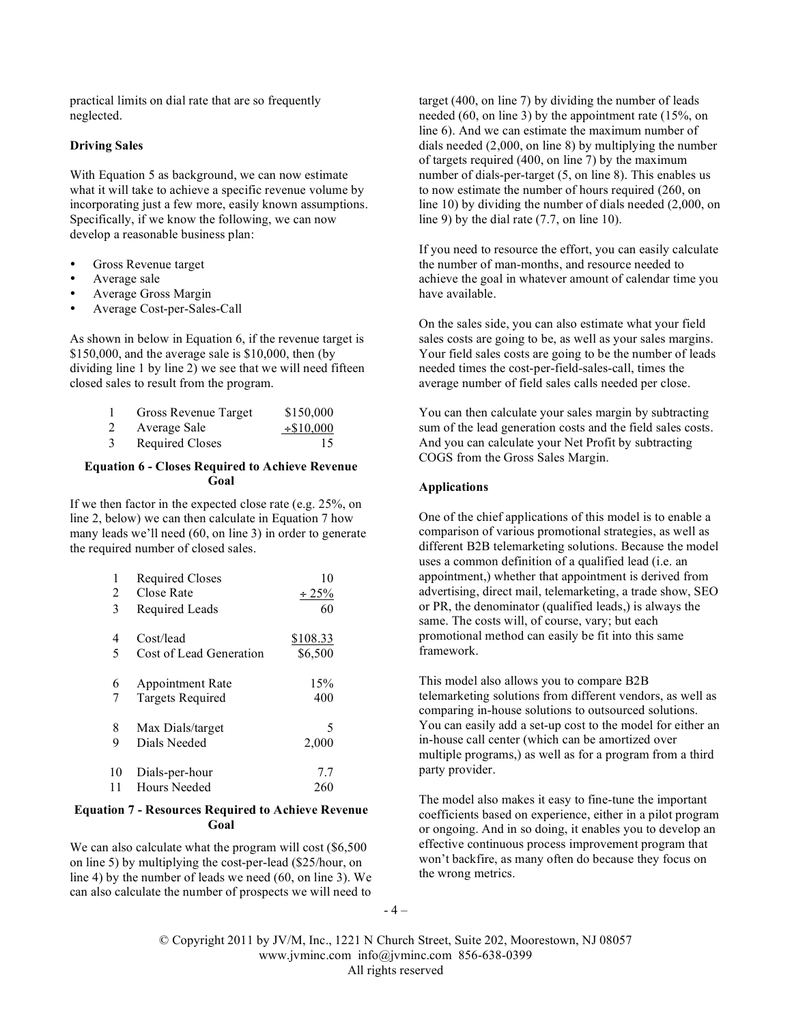practical limits on dial rate that are so frequently neglected.

#### **Driving Sales**

With Equation 5 as background, we can now estimate what it will take to achieve a specific revenue volume by incorporating just a few more, easily known assumptions. Specifically, if we know the following, we can now develop a reasonable business plan:

- Gross Revenue target
- Average sale
- Average Gross Margin
- Average Cost-per-Sales-Call

As shown in below in Equation 6, if the revenue target is \$150,000, and the average sale is \$10,000, then (by dividing line 1 by line 2) we see that we will need fifteen closed sales to result from the program.

|   | Gross Revenue Target   | \$150,000       |
|---|------------------------|-----------------|
| 2 | Average Sale           | $\div$ \$10,000 |
|   | <b>Required Closes</b> | 15              |

## **Equation 6 - Closes Required to Achieve Revenue Goal**

If we then factor in the expected close rate (e.g. 25%, on line 2, below) we can then calculate in Equation 7 how many leads we'll need (60, on line 3) in order to generate the required number of closed sales.

| 1  | <b>Required Closes</b>  | 10          |
|----|-------------------------|-------------|
| 2  | Close Rate              | $\div 25\%$ |
| 3  | Required Leads          | 60          |
| 4  | Cost/lead               | \$108.33    |
| 5  | Cost of Lead Generation | \$6,500     |
| 6  | <b>Appointment Rate</b> | 15%         |
| 7  | <b>Targets Required</b> | 400         |
| 8  | Max Dials/target        | 5           |
| 9  | Dials Needed            | 2,000       |
| 10 | Dials-per-hour          | 7.7         |
| 11 | <b>Hours Needed</b>     | 260         |

# **Equation 7 - Resources Required to Achieve Revenue Goal**

We can also calculate what the program will cost (\$6,500) on line 5) by multiplying the cost-per-lead (\$25/hour, on line 4) by the number of leads we need (60, on line 3). We can also calculate the number of prospects we will need to

target (400, on line 7) by dividing the number of leads needed (60, on line 3) by the appointment rate (15%, on line 6). And we can estimate the maximum number of dials needed (2,000, on line 8) by multiplying the number of targets required (400, on line 7) by the maximum number of dials-per-target (5, on line 8). This enables us to now estimate the number of hours required (260, on line 10) by dividing the number of dials needed (2,000, on line 9) by the dial rate (7.7, on line 10).

If you need to resource the effort, you can easily calculate the number of man-months, and resource needed to achieve the goal in whatever amount of calendar time you have available.

On the sales side, you can also estimate what your field sales costs are going to be, as well as your sales margins. Your field sales costs are going to be the number of leads needed times the cost-per-field-sales-call, times the average number of field sales calls needed per close.

You can then calculate your sales margin by subtracting sum of the lead generation costs and the field sales costs. And you can calculate your Net Profit by subtracting COGS from the Gross Sales Margin.

# **Applications**

One of the chief applications of this model is to enable a comparison of various promotional strategies, as well as different B2B telemarketing solutions. Because the model uses a common definition of a qualified lead (i.e. an appointment,) whether that appointment is derived from advertising, direct mail, telemarketing, a trade show, SEO or PR, the denominator (qualified leads,) is always the same. The costs will, of course, vary; but each promotional method can easily be fit into this same framework.

This model also allows you to compare B2B telemarketing solutions from different vendors, as well as comparing in-house solutions to outsourced solutions. You can easily add a set-up cost to the model for either an in-house call center (which can be amortized over multiple programs,) as well as for a program from a third party provider.

The model also makes it easy to fine-tune the important coefficients based on experience, either in a pilot program or ongoing. And in so doing, it enables you to develop an effective continuous process improvement program that won't backfire, as many often do because they focus on the wrong metrics.

 $-4-$